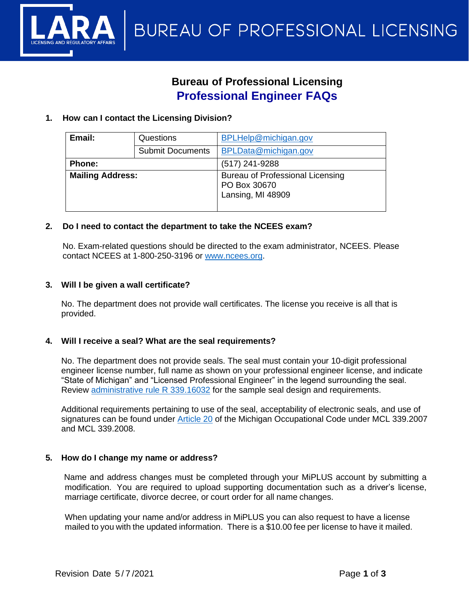

# **Bureau of Professional Licensing Professional Engineer FAQs**

# **1. How can I contact the Licensing Division?**

| Email:                  | Questions               | <b>BPLHelp@michigan.gov</b>                                           |
|-------------------------|-------------------------|-----------------------------------------------------------------------|
|                         | <b>Submit Documents</b> | BPLData@michigan.gov                                                  |
| <b>Phone:</b>           |                         | (517) 241-9288                                                        |
| <b>Mailing Address:</b> |                         | Bureau of Professional Licensing<br>PO Box 30670<br>Lansing, MI 48909 |

# **2. Do I need to contact the department to take the NCEES exam?**

No. Exam-related questions should be directed to the exam administrator, NCEES. Please contact NCEES at 1-800-250-3196 or [www.ncees.org.](http://www.ncees.org/)

# **3. Will I be given a wall certificate?**

No. The department does not provide wall certificates. The license you receive is all that is provided.

#### **4. Will I receive a seal? What are the seal requirements?**

No. The department does not provide seals. The seal must contain your 10-digit professional engineer license number, full name as shown on your professional engineer license, and indicate "State of Michigan" and "Licensed Professional Engineer" in the legend surrounding the seal. Review [administrative rule R 339.16032](https://ars.apps.lara.state.mi.us/AdminCode/DownloadAdminCodeFile?FileName=R%20339.16001%20to%20R%20339.16044.pdf) for the sample seal design and requirements.

Additional requirements pertaining to use of the seal, acceptability of electronic seals, and use of signatures can be found under [Article 20](http://www.legislature.mi.gov/(S(trbfh2ltu4bn3xvvihp3aipp))/mileg.aspx?page=getObject&objectName=mcl-299-1980-20&highlight=occupational%20AND%20code) of the Michigan Occupational Code under MCL 339.2007 and MCL 339.2008.

#### **5. How do I change my name or address?**

Name and address changes must be completed through your [MiPLUS account b](https://www.michigan.gov/lara/0%2C4601%2C7-154-89334_72600_92411---%2C00.html)y submitting a modification. You are required to upload supporting documentation such as a driver's license, marriage certificate, divorce decree, or court order for all name changes.

When updating your name and/or address in MiPLUS you can also request to have a license mailed to you with the updated information. There is a \$10.00 fee per license to have it mailed.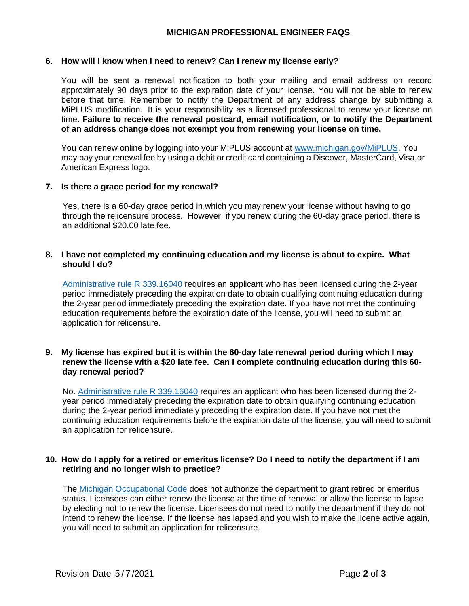# **MICHIGAN PROFESSIONAL ENGINEER FAQS**

#### **6. How will I know when I need to renew? Can I renew my license early?**

You will be sent a renewal notification to both your mailing and email address on record approximately 90 days prior to the expiration date of your license. You will not be able to renew before that time. Remember to notify the Department of any address change by submitting a MiPLUS modification. It is your responsibility as a licensed professional to renew your license on time**. Failure to receive the renewal postcard, email notification, or to notify the Department of an address change does not exempt you from renewing your license on time.**

You can renew online by logging into your MiPLUS account at [www.michigan.gov/MiPLUS.](http://www.michigan.gov/MiPLUS) You may pay your renewal fee by using a debit or credit card containing a Discover, MasterCard, Visa,or American Express logo.

# **7. Is there a grace period for my renewal?**

Yes, there is a 60-day grace period in which you may renew your license without having to go through the relicensure process. However, if you renew during the 60-day grace period, there is an additional \$20.00 late fee.

# **8. I have not completed my continuing education and my license is about to expire. What should I do?**

[Administrative rule R 339.16040](https://ars.apps.lara.state.mi.us/AdminCode/DownloadAdminCodeFile?FileName=R%20339.16001%20to%20R%20339.16044.pdf) requires an applicant who has been licensed during the 2-year period immediately preceding the expiration date to obtain qualifying continuing education during the 2-year period immediately preceding the expiration date. If you have not met the continuing education requirements before the expiration date of the license, you will need to submit an application for relicensure.

#### **9. My license has expired but it is within the 60-day late renewal period during which I may renew the license with a \$20 late fee. Can I complete continuing education during this 60 day renewal period?**

No. [Administrative rule R 339.16040](https://ars.apps.lara.state.mi.us/AdminCode/DownloadAdminCodeFile?FileName=R%20339.16001%20to%20R%20339.16044.pdf) requires an applicant who has been licensed during the 2year period immediately preceding the expiration date to obtain qualifying continuing education during the 2-year period immediately preceding the expiration date. If you have not met the continuing education requirements before the expiration date of the license, you will need to submit an application for relicensure.

# **10. How do I apply for a retired or emeritus license? Do I need to notify the department if I am retiring and no longer wish to practice?**

The [Michigan Occupational Code](http://www.legislature.mi.gov/(S(trbfh2ltu4bn3xvvihp3aipp))/mileg.aspx?page=getobject&objectname=mcl-Act-299-of-1980&query=on&highlight=occupational%20AND%20code) does not authorize the department to grant retired or emeritus status. Licensees can either renew the license at the time of renewal or allow the license to lapse by electing not to renew the license. Licensees do not need to notify the department if they do not intend to renew the license. If the license has lapsed and you wish to make the licene active again, you will need to submit an application for relicensure.